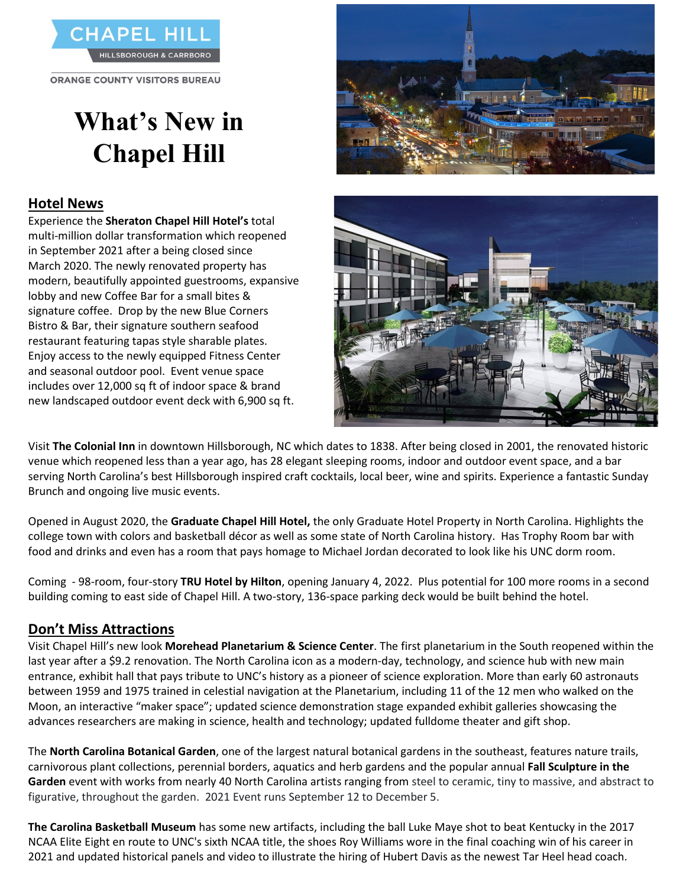

**ORANGE COUNTY VISITORS BUREAU** 

# **What's New in Chapel Hill**

# **Hotel News**

Experience the **Sheraton Chapel Hill Hotel's** total multi-million dollar transformation which reopened in September 2021 after a being closed since March 2020. The newly renovated property has modern, beautifully appointed guestrooms, expansive lobby and new Coffee Bar for a small bites & signature coffee. Drop by the new Blue Corners Bistro & Bar, their signature southern seafood restaurant featuring tapas style sharable plates. Enjoy access to the newly equipped Fitness Center and seasonal outdoor pool. Event venue space includes over 12,000 sq ft of indoor space & brand new landscaped outdoor event deck with 6,900 sq ft.





Visit **The Colonial Inn** in downtown Hillsborough, NC which dates to 1838. After being closed in 2001, the renovated historic venue which reopened less than a year ago, has 28 elegant sleeping rooms, indoor and outdoor event space, and a bar serving North Carolina's best Hillsborough inspired craft cocktails, local beer, wine and spirits. Experience a fantastic Sunday Brunch and ongoing live music events.

Opened in August 2020, the **Graduate Chapel Hill Hotel,** the only Graduate Hotel Property in North Carolina. Highlights the college town with colors and basketball décor as well as some state of North Carolina history. Has Trophy Room bar with food and drinks and even has a room that pays homage to Michael Jordan decorated to look like his UNC dorm room.

Coming - 98-room, four-story **TRU Hotel by Hilton**, opening January 4, 2022. Plus potential for 100 more rooms in a second building coming to east side of Chapel Hill. A two-story, 136-space parking deck would be built behind the hotel.

# **Don't Miss Attractions**

Visit Chapel Hill's new look **Morehead Planetarium & Science Center**. The first planetarium in the South reopened within the last year after a \$9.2 renovation. The North Carolina icon as a modern-day, technology, and science hub with new main entrance, exhibit hall that pays tribute to UNC's history as a pioneer of science exploration. More than early 60 astronauts between 1959 and 1975 trained in celestial navigation at the Planetarium, including 11 of the 12 men who walked on the Moon, an interactive "maker space"; updated science demonstration stage expanded exhibit galleries showcasing the advances researchers are making in science, health and technology; updated fulldome theater and gift shop.

The **North Carolina Botanical Garden**, one of the largest natural botanical gardens in the southeast, features nature trails, carnivorous plant collections, perennial borders, aquatics and herb gardens and the popular annual **Fall Sculpture in the Garden** event with works from nearly 40 North Carolina artists ranging from steel to ceramic, tiny to massive, and abstract to figurative, throughout the garden. 2021 Event runs September 12 to December 5.

**The Carolina Basketball Museum** has some new artifacts, including the ball Luke Maye shot to beat Kentucky in the 2017 NCAA Elite Eight en route to UNC's sixth NCAA title, the shoes Roy Williams wore in the final coaching win of his career in 2021 and updated historical panels and video to illustrate the hiring of Hubert Davis as the newest Tar Heel head coach.